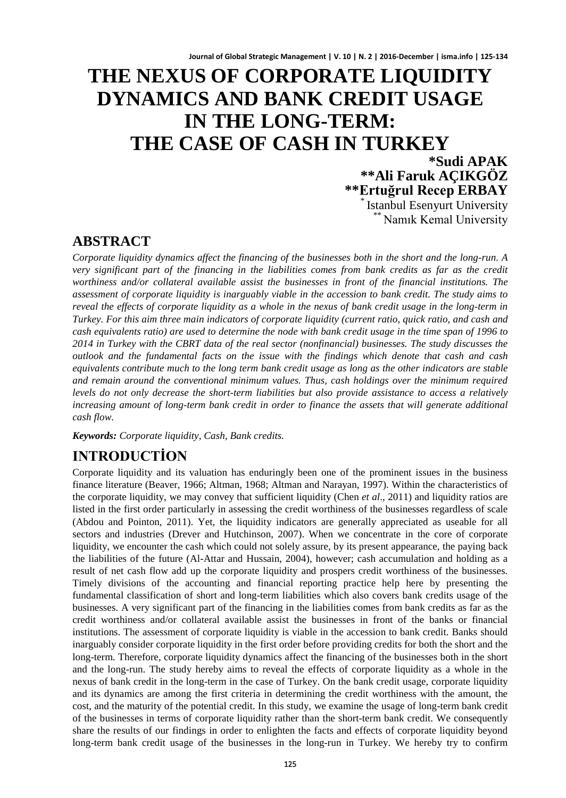# **THE NEXUS OF CORPORATE LIQUIDITY DYNAMICS AND BANK CREDIT USAGE IN THE LONG-TERM: THE CASE OF CASH IN TURKEY**

**\*Sudi APAK \*\*Ali Faruk AÇIKGÖZ Karabul Esenyurt University** \*\* Namık Kemal University

## **ABSTRACT**

*Corporate liquidity dynamics affect the financing of the businesses both in the short and the long-run. A very significant part of the financing in the liabilities comes from bank credits as far as the credit worthiness and/or collateral available assist the businesses in front of the financial institutions. The assessment of corporate liquidity is inarguably viable in the accession to bank credit. The study aims to reveal the effects of corporate liquidity as a whole in the nexus of bank credit usage in the long-term in Turkey. For this aim three main indicators of corporate liquidity (current ratio, quick ratio, and cash and cash equivalents ratio) are used to determine the node with bank credit usage in the time span of 1996 to 2014 in Turkey with the CBRT data of the real sector (nonfinancial) businesses. The study discusses the outlook and the fundamental facts on the issue with the findings which denote that cash and cash equivalents contribute much to the long term bank credit usage as long as the other indicators are stable and remain around the conventional minimum values. Thus, cash holdings over the minimum required levels do not only decrease the short-term liabilities but also provide assistance to access a relatively increasing amount of long-term bank credit in order to finance the assets that will generate additional cash flow.* 

*Keywords: Corporate liquidity, Cash, Bank credits.*

## **INTRODUCTİON**

Corporate liquidity and its valuation has enduringly been one of the prominent issues in the business finance literature (Beaver, 1966; Altman, 1968; Altman and Narayan, 1997). Within the characteristics of the corporate liquidity, we may convey that sufficient liquidity (Chen *et al*., 2011) and liquidity ratios are listed in the first order particularly in assessing the credit worthiness of the businesses regardless of scale (Abdou and Pointon, 2011). Yet, the liquidity indicators are generally appreciated as useable for all sectors and industries (Drever and Hutchinson, 2007). When we concentrate in the core of corporate liquidity, we encounter the cash which could not solely assure, by its present appearance, the paying back the liabilities of the future (Al-Attar and Hussain, 2004), however; cash accumulation and holding as a result of net cash flow add up the corporate liquidity and prospers credit worthiness of the businesses. Timely divisions of the accounting and financial reporting practice help here by presenting the fundamental classification of short and long-term liabilities which also covers bank credits usage of the businesses. A very significant part of the financing in the liabilities comes from bank credits as far as the credit worthiness and/or collateral available assist the businesses in front of the banks or financial institutions. The assessment of corporate liquidity is viable in the accession to bank credit. Banks should inarguably consider corporate liquidity in the first order before providing credits for both the short and the long-term. Therefore, corporate liquidity dynamics affect the financing of the businesses both in the short and the long-run. The study hereby aims to reveal the effects of corporate liquidity as a whole in the nexus of bank credit in the long-term in the case of Turkey. On the bank credit usage, corporate liquidity and its dynamics are among the first criteria in determining the credit worthiness with the amount, the cost, and the maturity of the potential credit. In this study, we examine the usage of long-term bank credit of the businesses in terms of corporate liquidity rather than the short-term bank credit. We consequently share the results of our findings in order to enlighten the facts and effects of corporate liquidity beyond long-term bank credit usage of the businesses in the long-run in Turkey. We hereby try to confirm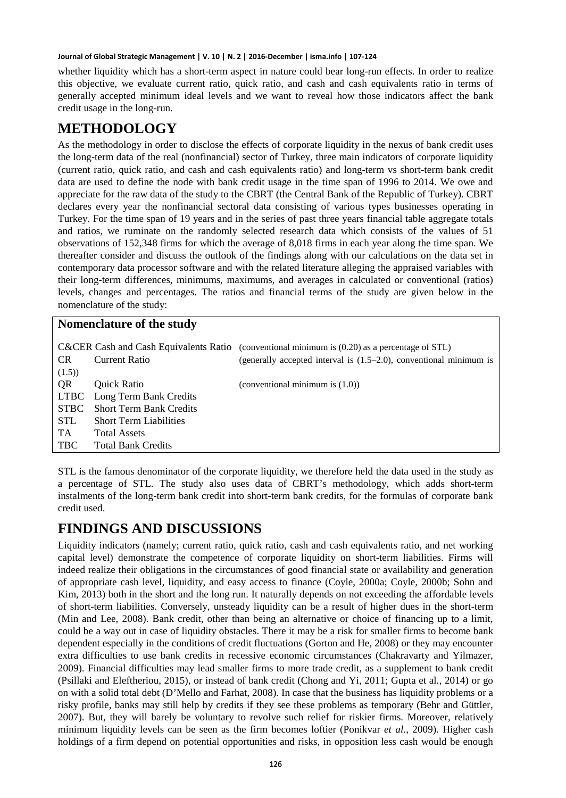whether liquidity which has a short-term aspect in nature could bear long-run effects. In order to realize this objective, we evaluate current ratio, quick ratio, and cash and cash equivalents ratio in terms of generally accepted minimum ideal levels and we want to reveal how those indicators affect the bank credit usage in the long-run.

## **METHODOLOGY**

As the methodology in order to disclose the effects of corporate liquidity in the nexus of bank credit uses the long-term data of the real (nonfinancial) sector of Turkey, three main indicators of corporate liquidity (current ratio, quick ratio, and cash and cash equivalents ratio) and long-term vs short-term bank credit data are used to define the node with bank credit usage in the time span of 1996 to 2014. We owe and appreciate for the raw data of the study to the CBRT (the Central Bank of the Republic of Turkey). CBRT declares every year the nonfinancial sectoral data consisting of various types businesses operating in Turkey. For the time span of 19 years and in the series of past three years financial table aggregate totals and ratios, we ruminate on the randomly selected research data which consists of the values of 51 observations of 152,348 firms for which the average of 8,018 firms in each year along the time span. We thereafter consider and discuss the outlook of the findings along with our calculations on the data set in contemporary data processor software and with the related literature alleging the appraised variables with their long-term differences, minimums, maximums, and averages in calculated or conventional (ratios) levels, changes and percentages. The ratios and financial terms of the study are given below in the nomenclature of the study:

#### **Nomenclature of the study**

|            |                                | C&CER Cash and Cash Equivalents Ratio (conventional minimum is $(0.20)$ as a percentage of STL) |
|------------|--------------------------------|-------------------------------------------------------------------------------------------------|
| <b>CR</b>  | <b>Current Ratio</b>           | (generally accepted interval is $(1.5-2.0)$ , conventional minimum is                           |
| (1.5)      |                                |                                                                                                 |
| <b>OR</b>  | <b>Ouick Ratio</b>             | (conventional minimum is $(1.0)$ )                                                              |
|            | LTBC Long Term Bank Credits    |                                                                                                 |
| STBC -     | <b>Short Term Bank Credits</b> |                                                                                                 |
| <b>STL</b> | <b>Short Term Liabilities</b>  |                                                                                                 |
| TA         | <b>Total Assets</b>            |                                                                                                 |
| <b>TBC</b> | <b>Total Bank Credits</b>      |                                                                                                 |

STL is the famous denominator of the corporate liquidity, we therefore held the data used in the study as a percentage of STL. The study also uses data of CBRT's methodology, which adds short-term instalments of the long-term bank credit into short-term bank credits, for the formulas of corporate bank credit used.

## **FINDINGS AND DISCUSSIONS**

Liquidity indicators (namely; current ratio, quick ratio, cash and cash equivalents ratio, and net working capital level) demonstrate the competence of corporate liquidity on short-term liabilities. Firms will indeed realize their obligations in the circumstances of good financial state or availability and generation of appropriate cash level, liquidity, and easy access to finance (Coyle, 2000a; Coyle, 2000b; Sohn and Kim, 2013) both in the short and the long run. It naturally depends on not exceeding the affordable levels of short-term liabilities. Conversely, unsteady liquidity can be a result of higher dues in the short-term (Min and Lee, 2008). Bank credit, other than being an alternative or choice of financing up to a limit, could be a way out in case of liquidity obstacles. There it may be a risk for smaller firms to become bank dependent especially in the conditions of credit fluctuations (Gorton and He, 2008) or they may encounter extra difficulties to use bank credits in recessive economic circumstances (Chakravarty and Yilmazer, 2009). Financial difficulties may lead smaller firms to more trade credit, as a supplement to bank credit (Psillaki and Eleftheriou, 2015), or instead of bank credit (Chong and Yi, 2011; Gupta et al., 2014) or go on with a solid total debt (D'Mello and Farhat, 2008). In case that the business has liquidity problems or a risky profile, banks may still help by credits if they see these problems as temporary (Behr and Güttler, 2007). But, they will barely be voluntary to revolve such relief for riskier firms. Moreover, relatively minimum liquidity levels can be seen as the firm becomes loftier (Ponikvar *et al.*, 2009). Higher cash holdings of a firm depend on potential opportunities and risks, in opposition less cash would be enough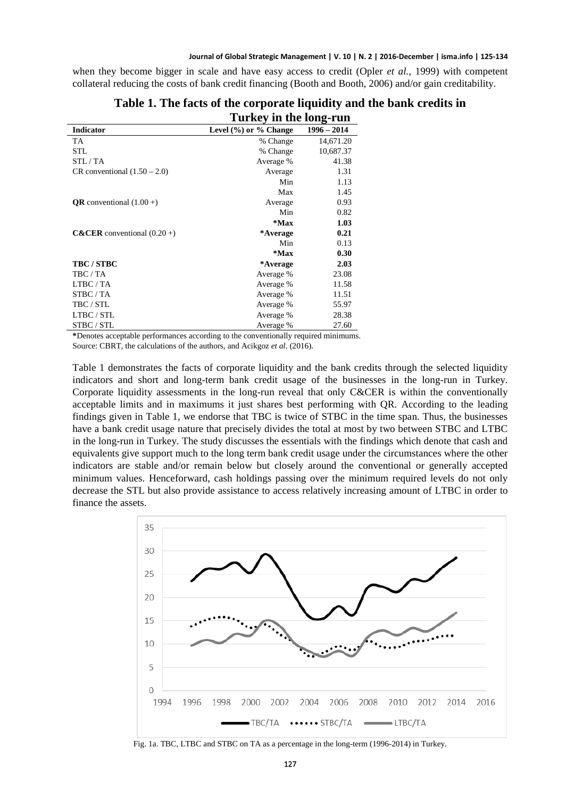when they become bigger in scale and have easy access to credit (Opler *et al.*, 1999) with competent collateral reducing the costs of bank credit financing (Booth and Booth, 2006) and/or gain creditability.

|                                          | Turkey in the long-run      |               |
|------------------------------------------|-----------------------------|---------------|
| Indicator                                | Level $(\%)$ or $\%$ Change | $1996 - 2014$ |
| TA                                       | % Change                    | 14,671.20     |
| <b>STL</b>                               | % Change                    | 10,687.37     |
| STL/TA                                   | Average %                   | 41.38         |
| CR conventional $(1.50 – 2.0)$           | Average                     | 1.31          |
|                                          | Min                         | 1.13          |
|                                          | Max                         | 1.45          |
| <b>QR</b> conventional $(1.00 +)$        | Average                     | 0.93          |
|                                          | Min                         | 0.82          |
|                                          | $*$ Max                     | 1.03          |
| <b>C&amp;CER</b> conventional $(0.20 +)$ | *Average                    | 0.21          |
|                                          | Min                         | 0.13          |
|                                          | $*$ Max                     | 0.30          |
| <b>TBC/STBC</b>                          | *Average                    | 2.03          |
| TBC / TA                                 | Average %                   | 23.08         |
| LTBC / TA                                | Average %                   | 11.58         |
| STBC/TA                                  | Average %                   | 11.51         |
| TBC / STL                                | Average %                   | 55.97         |
| LTBC / STL                               | Average %                   | 28.38         |
| STBC / STL                               | Average %                   | 27.60         |

#### **Table 1. The facts of the corporate liquidity and the bank credits in Turkey in the long-run**

**\***Denotes acceptable performances according to the conventionally required minimums.

Source: CBRT, the calculations of the authors, and Acikgoz *et al*. (2016).

Table 1 demonstrates the facts of corporate liquidity and the bank credits through the selected liquidity indicators and short and long-term bank credit usage of the businesses in the long-run in Turkey. Corporate liquidity assessments in the long-run reveal that only C&CER is within the conventionally acceptable limits and in maximums it just shares best performing with QR. According to the leading findings given in Table 1, we endorse that TBC is twice of STBC in the time span. Thus, the businesses have a bank credit usage nature that precisely divides the total at most by two between STBC and LTBC in the long-run in Turkey. The study discusses the essentials with the findings which denote that cash and equivalents give support much to the long term bank credit usage under the circumstances where the other indicators are stable and/or remain below but closely around the conventional or generally accepted minimum values. Henceforward, cash holdings passing over the minimum required levels do not only decrease the STL but also provide assistance to access relatively increasing amount of LTBC in order to finance the assets.



Fig. 1a. TBC, LTBC and STBC on TA as a percentage in the long-term (1996-2014) in Turkey.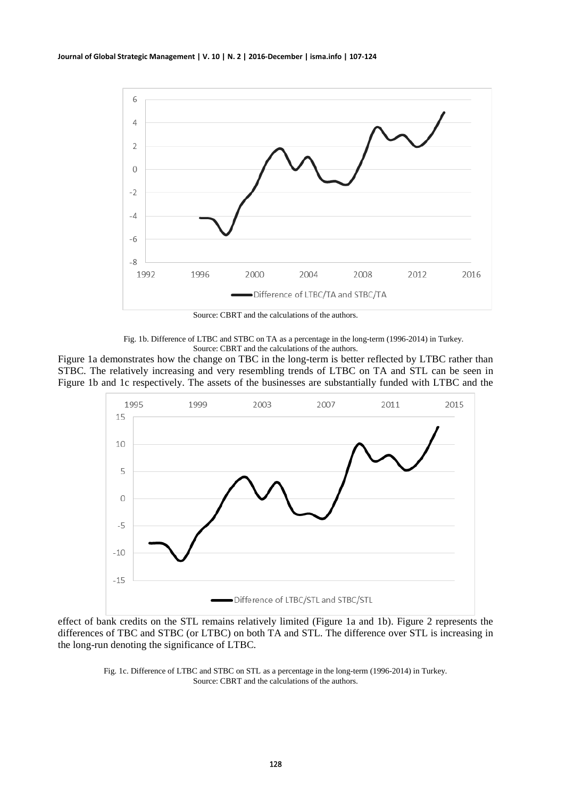

Source: CBRT and the calculations of the authors.

Fig. 1b. Difference of LTBC and STBC on TA as a percentage in the long-term (1996-2014) in Turkey. Source: CBRT and the calculations of the authors.

Figure 1a demonstrates how the change on TBC in the long-term is better reflected by LTBC rather than STBC. The relatively increasing and very resembling trends of LTBC on TA and STL can be seen in Figure 1b and 1c respectively. The assets of the businesses are substantially funded with LTBC and the



effect of bank credits on the STL remains relatively limited (Figure 1a and 1b). Figure 2 represents the differences of TBC and STBC (or LTBC) on both TA and STL. The difference over STL is increasing in the long-run denoting the significance of LTBC.

> Fig. 1c. Difference of LTBC and STBC on STL as a percentage in the long-term (1996-2014) in Turkey. Source: CBRT and the calculations of the authors.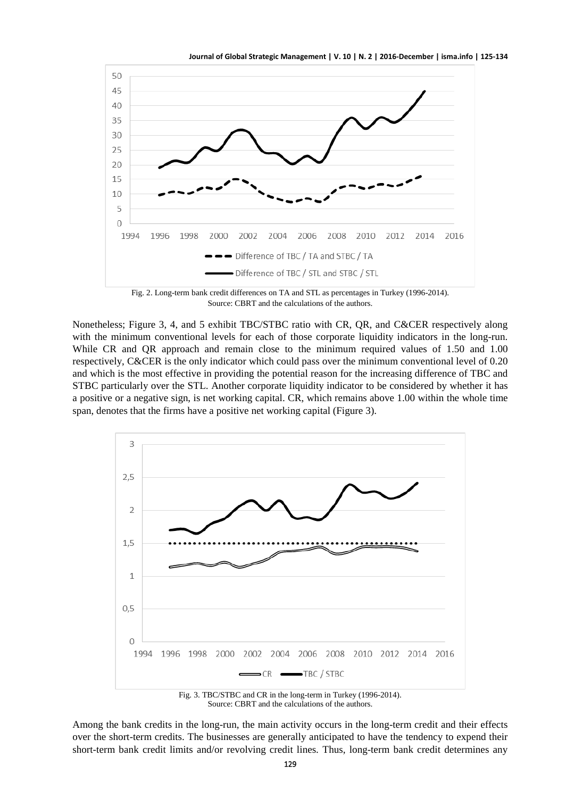

Fig. 2. Long-term bank credit differences on TA and STL as percentages in Turkey (1996-2014). Source: CBRT and the calculations of the authors.

Nonetheless; Figure 3, 4, and 5 exhibit TBC/STBC ratio with CR, QR, and C&CER respectively along with the minimum conventional levels for each of those corporate liquidity indicators in the long-run. While CR and QR approach and remain close to the minimum required values of 1.50 and 1.00 respectively, C&CER is the only indicator which could pass over the minimum conventional level of 0.20 and which is the most effective in providing the potential reason for the increasing difference of TBC and STBC particularly over the STL. Another corporate liquidity indicator to be considered by whether it has a positive or a negative sign, is net working capital. CR, which remains above 1.00 within the whole time span, denotes that the firms have a positive net working capital (Figure 3).



Fig. 3. TBC/STBC and CR in the long-term in Turkey (1996-2014). Source: CBRT and the calculations of the authors.

Among the bank credits in the long-run, the main activity occurs in the long-term credit and their effects over the short-term credits. The businesses are generally anticipated to have the tendency to expend their short-term bank credit limits and/or revolving credit lines. Thus, long-term bank credit determines any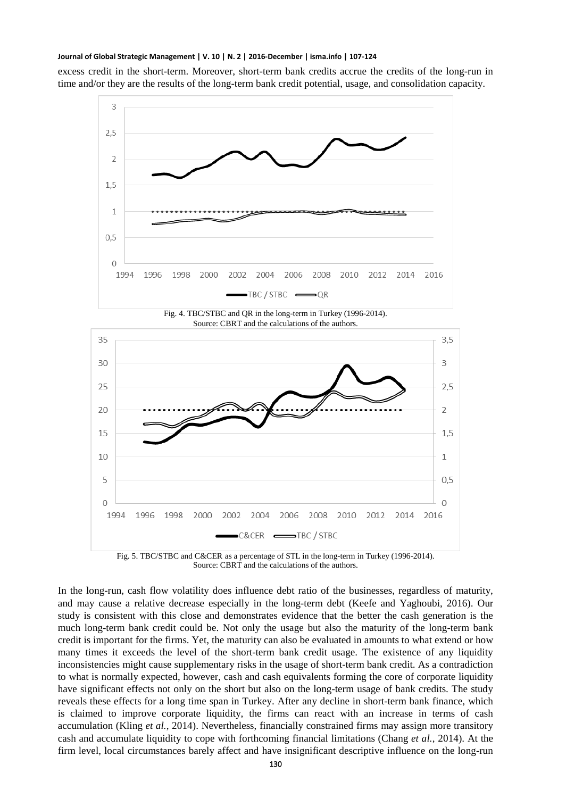excess credit in the short-term. Moreover, short-term bank credits accrue the credits of the long-run in time and/or they are the results of the long-term bank credit potential, usage, and consolidation capacity.



Fig. 5. TBC/STBC and C&CER as a percentage of STL in the long-term in Turkey (1996-2014). Source: CBRT and the calculations of the authors.

In the long-run, cash flow volatility does influence debt ratio of the businesses, regardless of maturity, and may cause a relative decrease especially in the long-term debt (Keefe and Yaghoubi, 2016). Our study is consistent with this close and demonstrates evidence that the better the cash generation is the much long-term bank credit could be. Not only the usage but also the maturity of the long-term bank credit is important for the firms. Yet, the maturity can also be evaluated in amounts to what extend or how many times it exceeds the level of the short-term bank credit usage. The existence of any liquidity inconsistencies might cause supplementary risks in the usage of short-term bank credit. As a contradiction to what is normally expected, however, cash and cash equivalents forming the core of corporate liquidity have significant effects not only on the short but also on the long-term usage of bank credits. The study reveals these effects for a long time span in Turkey. After any decline in short-term bank finance, which is claimed to improve corporate liquidity, the firms can react with an increase in terms of cash accumulation (Kling *et al.*, 2014). Nevertheless, financially constrained firms may assign more transitory cash and accumulate liquidity to cope with forthcoming financial limitations (Chang *et al.*, 2014). At the firm level, local circumstances barely affect and have insignificant descriptive influence on the long-run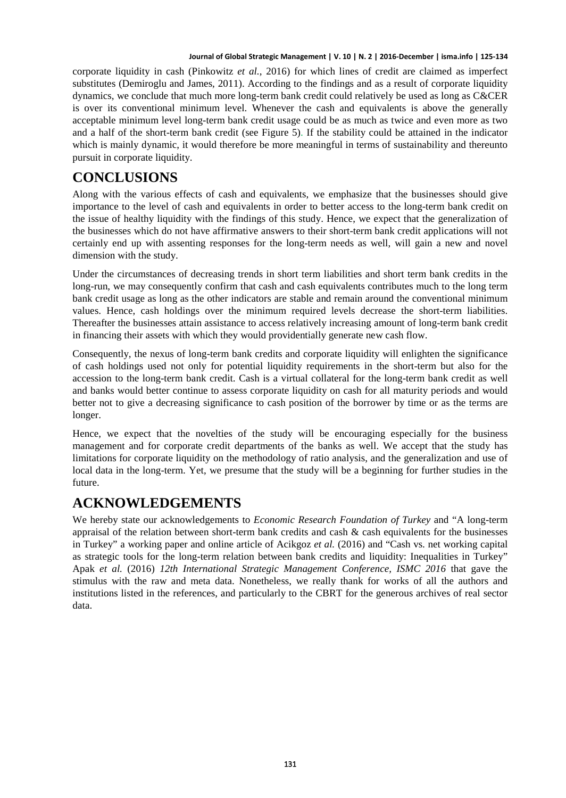corporate liquidity in cash (Pinkowitz *et al.*, 2016) for which lines of credit are claimed as imperfect substitutes (Demiroglu and James, 2011). According to the findings and as a result of corporate liquidity dynamics, we conclude that much more long-term bank credit could relatively be used as long as C&CER is over its conventional minimum level. Whenever the cash and equivalents is above the generally acceptable minimum level long-term bank credit usage could be as much as twice and even more as two and a half of the short-term bank credit (see Figure 5). If the stability could be attained in the indicator which is mainly dynamic, it would therefore be more meaningful in terms of sustainability and thereunto pursuit in corporate liquidity.

## **CONCLUSIONS**

Along with the various effects of cash and equivalents, we emphasize that the businesses should give importance to the level of cash and equivalents in order to better access to the long-term bank credit on the issue of healthy liquidity with the findings of this study. Hence, we expect that the generalization of the businesses which do not have affirmative answers to their short-term bank credit applications will not certainly end up with assenting responses for the long-term needs as well, will gain a new and novel dimension with the study.

Under the circumstances of decreasing trends in short term liabilities and short term bank credits in the long-run, we may consequently confirm that cash and cash equivalents contributes much to the long term bank credit usage as long as the other indicators are stable and remain around the conventional minimum values. Hence, cash holdings over the minimum required levels decrease the short-term liabilities. Thereafter the businesses attain assistance to access relatively increasing amount of long-term bank credit in financing their assets with which they would providentially generate new cash flow.

Consequently, the nexus of long-term bank credits and corporate liquidity will enlighten the significance of cash holdings used not only for potential liquidity requirements in the short-term but also for the accession to the long-term bank credit. Cash is a virtual collateral for the long-term bank credit as well and banks would better continue to assess corporate liquidity on cash for all maturity periods and would better not to give a decreasing significance to cash position of the borrower by time or as the terms are longer.

Hence, we expect that the novelties of the study will be encouraging especially for the business management and for corporate credit departments of the banks as well. We accept that the study has limitations for corporate liquidity on the methodology of ratio analysis, and the generalization and use of local data in the long-term. Yet, we presume that the study will be a beginning for further studies in the future.

## **ACKNOWLEDGEMENTS**

We hereby state our acknowledgements to *Economic Research Foundation of Turkey* and "A long-term appraisal of the relation between short-term bank credits and cash & cash equivalents for the businesses in Turkey" a working paper and online article of Acikgoz *et al.* (2016) and "Cash vs. net working capital as strategic tools for the long-term relation between bank credits and liquidity: Inequalities in Turkey" Apak *et al.* (2016) *12th International Strategic Management Conference, ISMC 2016* that gave the stimulus with the raw and meta data. Nonetheless, we really thank for works of all the authors and institutions listed in the references, and particularly to the CBRT for the generous archives of real sector data.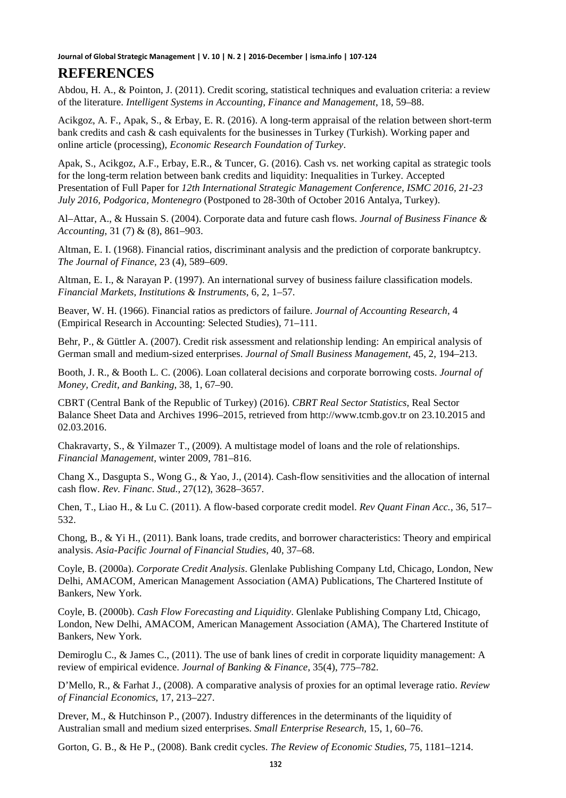### **REFERENCES**

Abdou, H. A., & Pointon, J. (2011). Credit scoring, statistical techniques and evaluation criteria: a review of the literature. *Intelligent Systems in Accounting, Finance and Management*, 18, 59–88.

Acikgoz, A. F., Apak, S., & Erbay, E. R. (2016). A long-term appraisal of the relation between short-term bank credits and cash & cash equivalents for the businesses in Turkey (Turkish). Working paper and online article (processing), *Economic Research Foundation of Turkey*.

Apak, S., Acikgoz, A.F., Erbay, E.R., & Tuncer, G. (2016). Cash vs. net working capital as strategic tools for the long-term relation between bank credits and liquidity: Inequalities in Turkey. Accepted Presentation of Full Paper for *12th International Strategic Management Conference, ISMC 2016, 21-23 July 2016, Podgorica, Montenegro* (Postponed to 28-30th of October 2016 Antalya, Turkey).

Al–Attar, A., & Hussain S. (2004). Corporate data and future cash flows. *Journal of Business Finance & Accounting*, 31 (7) & (8), 861–903.

Altman, E. I. (1968). Financial ratios, discriminant analysis and the prediction of corporate bankruptcy. *The Journal of Finance*, 23 (4), 589–609.

Altman, E. I., & Narayan P. (1997). An international survey of business failure classification models. *Financial Markets, Institutions & Instruments*, 6, 2, 1–57.

Beaver, W. H. (1966). Financial ratios as predictors of failure. *Journal of Accounting Research*, 4 (Empirical Research in Accounting: Selected Studies), 71–111.

Behr, P., & Güttler A. (2007). Credit risk assessment and relationship lending: An empirical analysis of German small and medium-sized enterprises. *Journal of Small Business Management*, 45, 2, 194–213.

Booth, J. R., & Booth L. C. (2006). Loan collateral decisions and corporate borrowing costs. *Journal of Money, Credit, and Banking*, 38, 1, 67–90.

CBRT (Central Bank of the Republic of Turkey) (2016). *CBRT Real Sector Statistics*, Real Sector Balance Sheet Data and Archives 1996–2015, retrieved from [http://www.tcmb.gov.tr](http://www.tcmb.gov.tr/) on 23.10.2015 and 02.03.2016.

Chakravarty, S., & Yilmazer T., (2009). A multistage model of loans and the role of relationships. *Financial Management*, winter 2009, 781–816.

Chang X., Dasgupta S., Wong G., & Yao, J., (2014). Cash-flow sensitivities and the allocation of internal cash flow. *Rev. Financ. Stud.*, 27(12), 3628–3657.

Chen, T., Liao H., & Lu C. (2011). A flow-based corporate credit model. *Rev Quant Finan Acc.*, 36, 517– 532.

Chong, B., & Yi H., (2011). Bank loans, trade credits, and borrower characteristics: Theory and empirical analysis. *Asia-Pacific Journal of Financial Studies*, 40, 37–68.

Coyle, B. (2000a). *Corporate Credit Analysis*. Glenlake Publishing Company Ltd, Chicago, London, New Delhi, AMACOM, American Management Association (AMA) Publications, The Chartered Institute of Bankers, New York.

Coyle, B. (2000b). *Cash Flow Forecasting and Liquidity*. Glenlake Publishing Company Ltd, Chicago, London, New Delhi, AMACOM, American Management Association (AMA), The Chartered Institute of Bankers, New York.

Demiroglu C., & James C., (2011). The use of bank lines of credit in corporate liquidity management: A review of empirical evidence. *Journal of Banking & Finance*, 35(4), 775–782.

D'Mello, R., & Farhat J., (2008). A comparative analysis of proxies for an optimal leverage ratio. *Review of Financial Economics*, 17, 213–227.

Drever, M., & Hutchinson P., (2007). Industry differences in the determinants of the liquidity of Australian small and medium sized enterprises. *Small Enterprise Research*, 15, 1, 60–76.

Gorton, G. B., & He P., (2008). Bank credit cycles. *The Review of Economic Studies*, 75, 1181–1214.